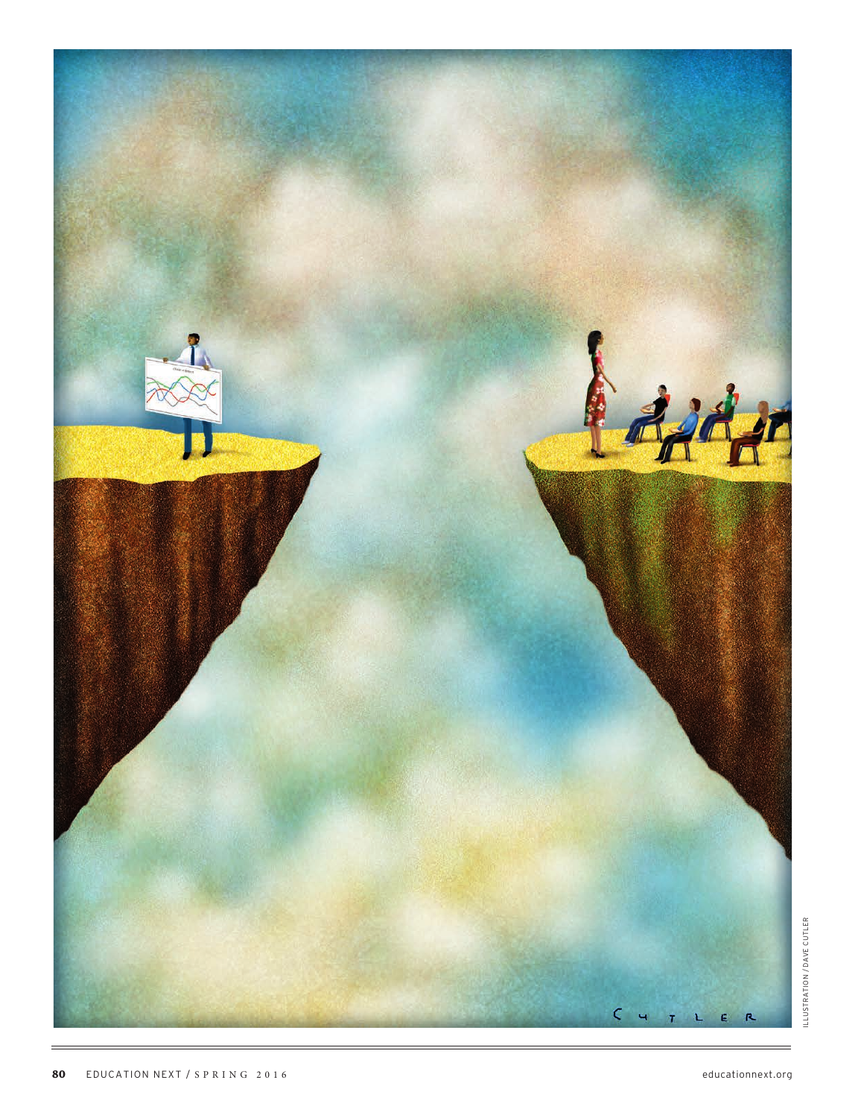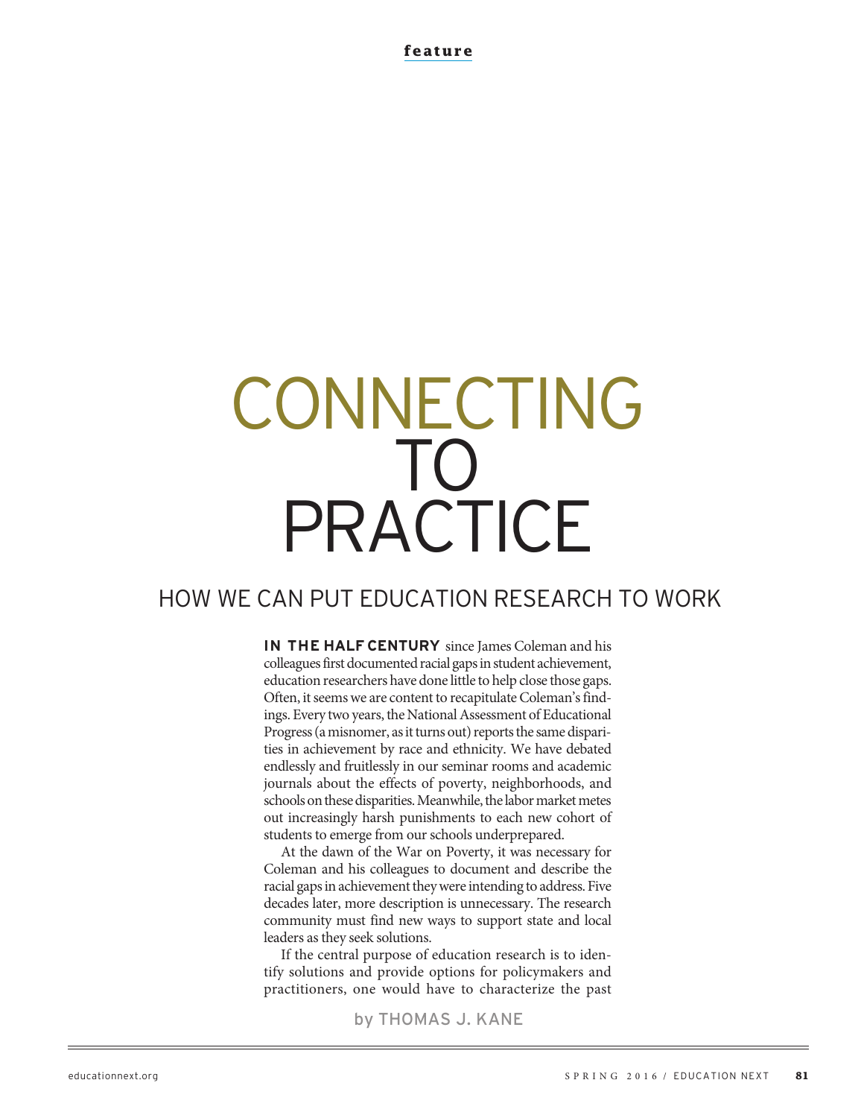**feature**

# CONNECTING TO PRACTICE

# HOW WE CAN PUT EDUCATION RESEARCH TO WORK

**IN THE HALF CENTURY** since James Coleman and his colleagues first documented racial gaps in student achievement, education researchers have done little to help close those gaps. Often, it seems we are content to recapitulate Coleman's findings. Every two years, the National Assessment of Educational Progress (a misnomer, as it turns out) reports the same disparities in achievement by race and ethnicity. We have debated endlessly and fruitlessly in our seminar rooms and academic journals about the effects of poverty, neighborhoods, and schools on these disparities. Meanwhile, the labor market metes out increasingly harsh punishments to each new cohort of students to emerge from our schools underprepared.

At the dawn of the War on Poverty, it was necessary for Coleman and his colleagues to document and describe the racial gaps in achievement they were intending to address. Five decades later, more description is unnecessary. The research community must find new ways to support state and local leaders as they seek solutions.

If the central purpose of education research is to identify solutions and provide options for policymakers and practitioners, one would have to characterize the past

by THOMAS J. KANE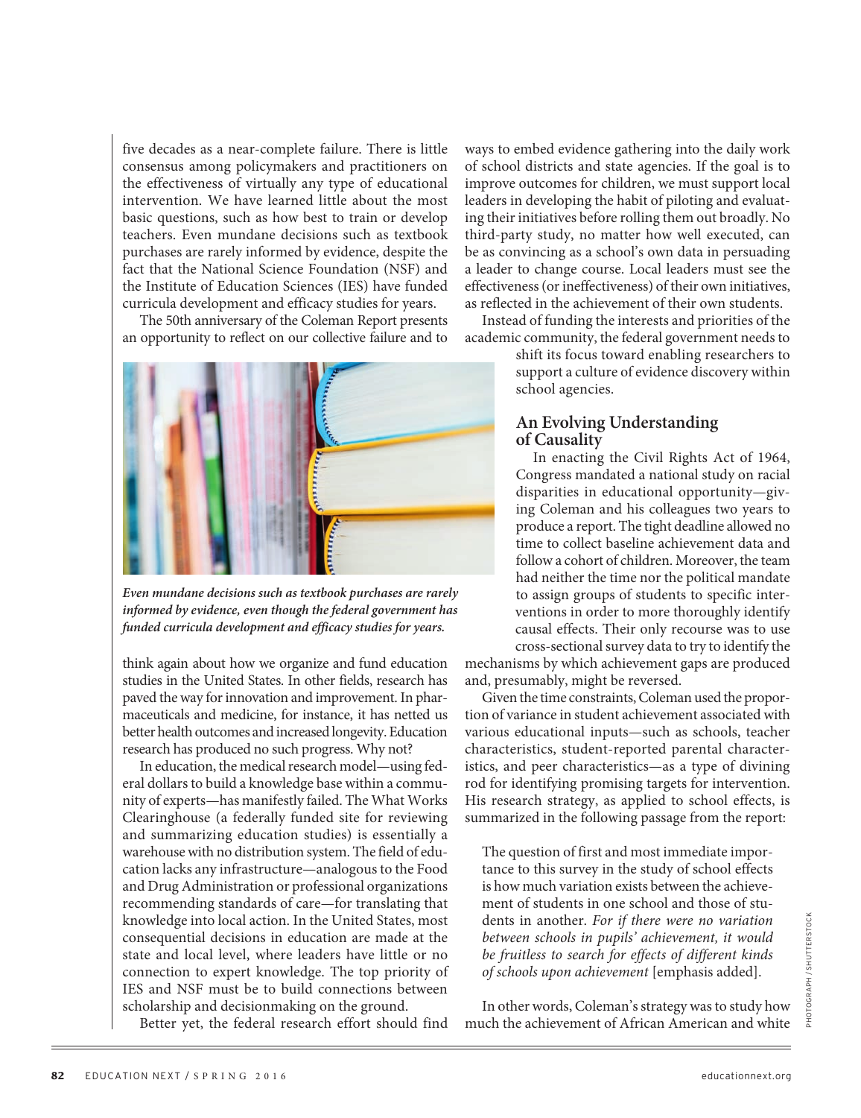five decades as a near-complete failure. There is little consensus among policymakers and practitioners on the effectiveness of virtually any type of educational intervention. We have learned little about the most basic questions, such as how best to train or develop teachers. Even mundane decisions such as textbook purchases are rarely informed by evidence, despite the fact that the National Science Foundation (NSF) and the Institute of Education Sciences (IES) have funded curricula development and efficacy studies for years.

The 50th anniversary of the Coleman Report presents an opportunity to reflect on our collective failure and to



**Even mundane decisions such as textbook purchases are rarely informed by evidence, even though the federal government has funded curricula development and efficacy studies for years.**

think again about how we organize and fund education studies in the United States. In other fields, research has paved the way for innovation and improvement. In pharmaceuticals and medicine, for instance, it has netted us better health outcomes and increased longevity. Education research has produced no such progress. Why not?

In education, the medical research model—using federal dollars to build a knowledge base within a community of experts—has manifestly failed. The What Works Clearinghouse (a federally funded site for reviewing and summarizing education studies) is essentially a warehouse with no distribution system. The field of education lacks any infrastructure—analogous to the Food and Drug Administration or professional organizations recommending standards of care—for translating that knowledge into local action. In the United States, most consequential decisions in education are made at the state and local level, where leaders have little or no connection to expert knowledge. The top priority of IES and NSF must be to build connections between scholarship and decisionmaking on the ground.

Better yet, the federal research effort should find

ways to embed evidence gathering into the daily work of school districts and state agencies. If the goal is to improve outcomes for children, we must support local leaders in developing the habit of piloting and evaluating their initiatives before rolling them out broadly. No third-party study, no matter how well executed, can be as convincing as a school's own data in persuading a leader to change course. Local leaders must see the effectiveness (or ineffectiveness) of their own initiatives, as reflected in the achievement of their own students.

Instead of funding the interests and priorities of the academic community, the federal government needs to

> shift its focus toward enabling researchers to support a culture of evidence discovery within school agencies.

#### **An Evolving Understanding of Causality**

In enacting the Civil Rights Act of 1964, Congress mandated a national study on racial disparities in educational opportunity—giving Coleman and his colleagues two years to produce a report. The tight deadline allowed no time to collect baseline achievement data and follow a cohort of children. Moreover, the team had neither the time nor the political mandate to assign groups of students to specific interventions in order to more thoroughly identify causal effects. Their only recourse was to use cross-sectional survey data to try to identify the

mechanisms by which achievement gaps are produced and, presumably, might be reversed.

Given the time constraints, Coleman used the proportion of variance in student achievement associated with various educational inputs—such as schools, teacher characteristics, student-reported parental characteristics, and peer characteristics—as a type of divining rod for identifying promising targets for intervention. His research strategy, as applied to school effects, is summarized in the following passage from the report:

The question of first and most immediate importance to this survey in the study of school effects is how much variation exists between the achievement of students in one school and those of students in another. For if there were no variation between schools in pupils' achievement, it would be fruitless to search for effects of different kinds of schools upon achievement [emphasis added].

In other words, Coleman's strategy was to study how much the achievement of African American and white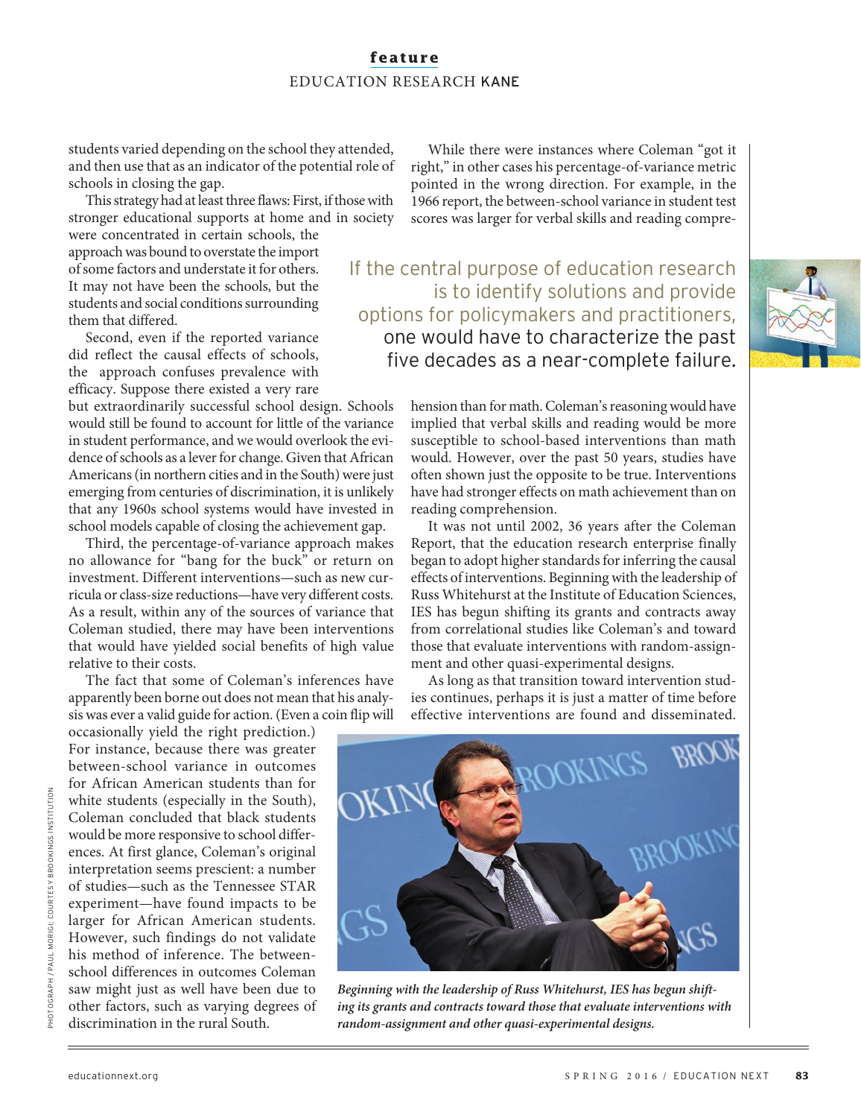### **feature** EDUCATION RESEARCH KANE

students varied depending on the school they attended, and then use that as an indicator of the potential role of schools in closing the gap.

This strategy had at least three flaws: First, if those with stronger educational supports at home and in society

were concentrated in certain schools, the approach was bound to overstate the import of some factors and understate it for others. It may not have been the schools, but the students and social conditions surrounding them that differed.

Second, even if the reported variance did reflect the causal effects of schools, the approach confuses prevalence with efficacy. Suppose there existed a very rare

but extraordinarily successful school design. Schools would still be found to account for little of the variance in student performance, and we would overlook the evidence of schools as a lever for change. Given that African Americans (in northern cities and in the South) were just emerging from centuries of discrimination, it is unlikely that any 1960s school systems would have invested in school models capable of closing the achievement gap.

Third, the percentage-of-variance approach makes no allowance for "bang for the buck" or return on investment. Different interventions—such as new curricula or class-size reductions—have very different costs. As a result, within any of the sources of variance that Coleman studied, there may have been interventions that would have yielded social benefits of high value relative to their costs.

The fact that some of Coleman's inferences have apparently been borne out does not mean that his analysis was ever a valid guide for action. (Even a coin flip will

occasionally yield the right prediction.) For instance, because there was greater between-school variance in outcomes for African American students than for white students (especially in the South), Coleman concluded that black students would be more responsive to school differences. At first glance, Coleman's original interpretation seems prescient: a number of studies—such as the Tennessee STAR experiment—have found impacts to be larger for African American students. However, such findings do not validate his method of inference. The betweenschool differences in outcomes Coleman saw might just as well have been due to other factors, such as varying degrees of discrimination in the rural South.

While there were instances where Coleman "got it right," in other cases his percentage-of-variance metric pointed in the wrong direction. For example, in the 1966 report, the between-school variance in student test scores was larger for verbal skills and reading compre-

If the central purpose of education research is to identify solutions and provide options for policymakers and practitioners, one would have to characterize the past five decades as a near-complete failure.



hension than for math. Coleman's reasoning would have implied that verbal skills and reading would be more susceptible to school-based interventions than math would. However, over the past 50 years, studies have often shown just the opposite to be true. Interventions have had stronger effects on math achievement than on reading comprehension.

It was not until 2002, 36 years after the Coleman Report, that the education research enterprise finally began to adopt higher standards for inferring the causal effects of interventions. Beginning with the leadership of Russ Whitehurst at the Institute of Education Sciences, IES has begun shifting its grants and contracts away from correlational studies like Coleman's and toward those that evaluate interventions with random-assignment and other quasi-experimental designs.

As long as that transition toward intervention studies continues, perhaps it is just a matter of time before effective interventions are found and disseminated.



**Beginning with the leadership of Russ Whitehurst, IES has begun shifting its grants and contracts toward those that evaluate interventions with random-assignment and other quasi-experimental designs.**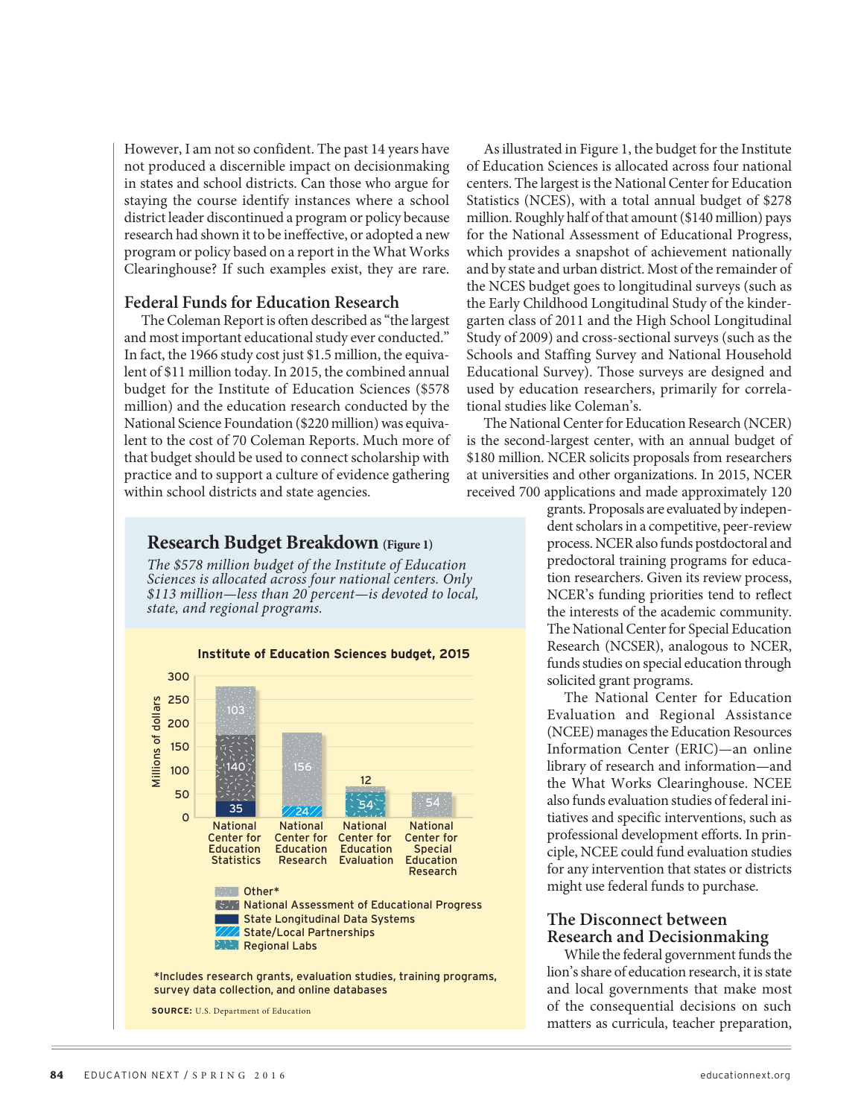However, I am not so confident. The past 14 years have not produced a discernible impact on decisionmaking in states and school districts. Can those who argue for staying the course identify instances where a school district leader discontinued a program or policy because research had shown it to be ineffective, or adopted a new program or policy based on a report in the What Works Clearinghouse? If such examples exist, they are rare.

#### **Federal Funds for Education Research**

The Coleman Report is often described as "the largest and most important educational study ever conducted." In fact, the 1966 study cost just \$1.5 million, the equivalent of \$11 million today. In 2015, the combined annual budget for the Institute of Education Sciences (\$578 million) and the education research conducted by the National Science Foundation (\$220 million) was equivalent to the cost of 70 Coleman Reports. Much more of that budget should be used to connect scholarship with practice and to support a culture of evidence gathering within school districts and state agencies.

# **Research Budget Breakdown (Figure 1)**

The \$578 million budget of the Institute of Education Sciences is allocated across four national centers. Only \$113 million—less than 20 percent—is devoted to local, state, and regional programs.



As illustrated in Figure 1, the budget for the Institute of Education Sciences is allocated across four national centers. The largest is the National Center for Education Statistics (NCES), with a total annual budget of \$278 million. Roughly half of that amount (\$140 million) pays for the National Assessment of Educational Progress, which provides a snapshot of achievement nationally and by state and urban district. Most of the remainder of the NCES budget goes to longitudinal surveys (such as the Early Childhood Longitudinal Study of the kindergarten class of 2011 and the High School Longitudinal Study of 2009) and cross-sectional surveys (such as the Schools and Staffing Survey and National Household Educational Survey). Those surveys are designed and used by education researchers, primarily for correlational studies like Coleman's.

The National Center for Education Research (NCER) is the second-largest center, with an annual budget of \$180 million. NCER solicits proposals from researchers at universities and other organizations. In 2015, NCER received 700 applications and made approximately 120

> grants. Proposals are evaluated by independent scholars in a competitive, peer-review process. NCER also funds postdoctoral and predoctoral training programs for education researchers. Given its review process, NCER's funding priorities tend to reflect the interests of the academic community. The National Center for Special Education Research (NCSER), analogous to NCER, funds studies on special education through solicited grant programs.

> The National Center for Education Evaluation and Regional Assistance (NCEE) manages the Education Resources Information Center (ERIC)—an online library of research and information—and the What Works Clearinghouse. NCEE also funds evaluation studies of federal initiatives and specific interventions, such as professional development efforts. In principle, NCEE could fund evaluation studies for any intervention that states or districts might use federal funds to purchase.

#### **The Disconnect between Research and Decisionmaking**

While the federal government funds the lion's share of education research, it is state and local governments that make most of the consequential decisions on such matters as curricula, teacher preparation,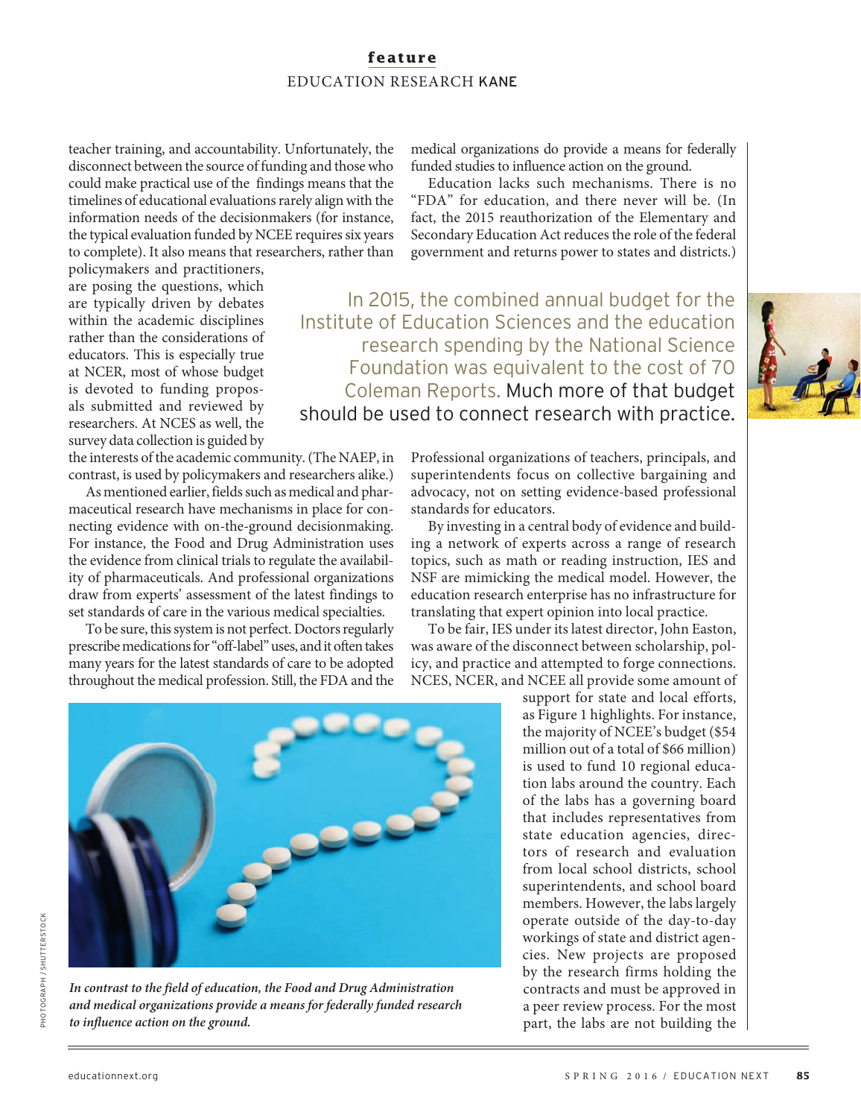# **feature** EDUCATION RESEARCH KANE

teacher training, and accountability. Unfortunately, the disconnect between the source of funding and those who could make practical use of the findings means that the timelines of educational evaluations rarely align with the information needs of the decisionmakers (for instance, the typical evaluation funded by NCEE requires six years to complete). It also means that researchers, rather than medical organizations do provide a means for federally funded studies to influence action on the ground.

Education lacks such mechanisms. There is no "FDA" for education, and there never will be. (In fact, the 2015 reauthorization of the Elementary and Secondary Education Act reduces the role of the federal government and returns power to states and districts.)

In 2015, the combined annual budget for the

research spending by the National Science Foundation was equivalent to the cost of 70 Coleman Reports. Much more of that budget

Institute of Education Sciences and the education

should be used to connect research with practice.

policymakers and practitioners, are posing the questions, which are typically driven by debates within the academic disciplines rather than the considerations of educators. This is especially true at NCER, most of whose budget is devoted to funding proposals submitted and reviewed by researchers. At NCES as well, the survey data collection is guided by

the interests of the academic community. (The NAEP, in contrast, is used by policymakers and researchers alike.)

As mentioned earlier, fields such as medical and pharmaceutical research have mechanisms in place for connecting evidence with on-the-ground decisionmaking. For instance, the Food and Drug Administration uses the evidence from clinical trials to regulate the availability of pharmaceuticals. And professional organizations draw from experts' assessment of the latest findings to set standards of care in the various medical specialties.

To be sure, this system is not perfect. Doctors regularly prescribe medications for "off-label" uses, and it often takes many years for the latest standards of care to be adopted throughout the medical profession. Still, the FDA and the Professional organizations of teachers, principals, and superintendents focus on collective bargaining and advocacy, not on setting evidence-based professional standards for educators.

By investing in a central body of evidence and building a network of experts across a range of research topics, such as math or reading instruction, IES and NSF are mimicking the medical model. However, the education research enterprise has no infrastructure for translating that expert opinion into local practice.

To be fair, IES under its latest director, John Easton, was aware of the disconnect between scholarship, policy, and practice and attempted to forge connections. NCES, NCER, and NCEE all provide some amount of

support for state and local efforts, as Figure 1 highlights. For instance, the majority of NCEE's budget (\$54 million out of a total of \$66 million) is used to fund 10 regional education labs around the country. Each of the labs has a governing board that includes representatives from state education agencies, directors of research and evaluation from local school districts, school superintendents, and school board members. However, the labs largely operate outside of the day-to-day workings of state and district agencies. New projects are proposed by the research firms holding the contracts and must be approved in a peer review process. For the most part, the labs are not building the



**In contrast to the field of education, the Food and Drug Administration and medical organizations provide a means for federally funded research to influence action on the ground.**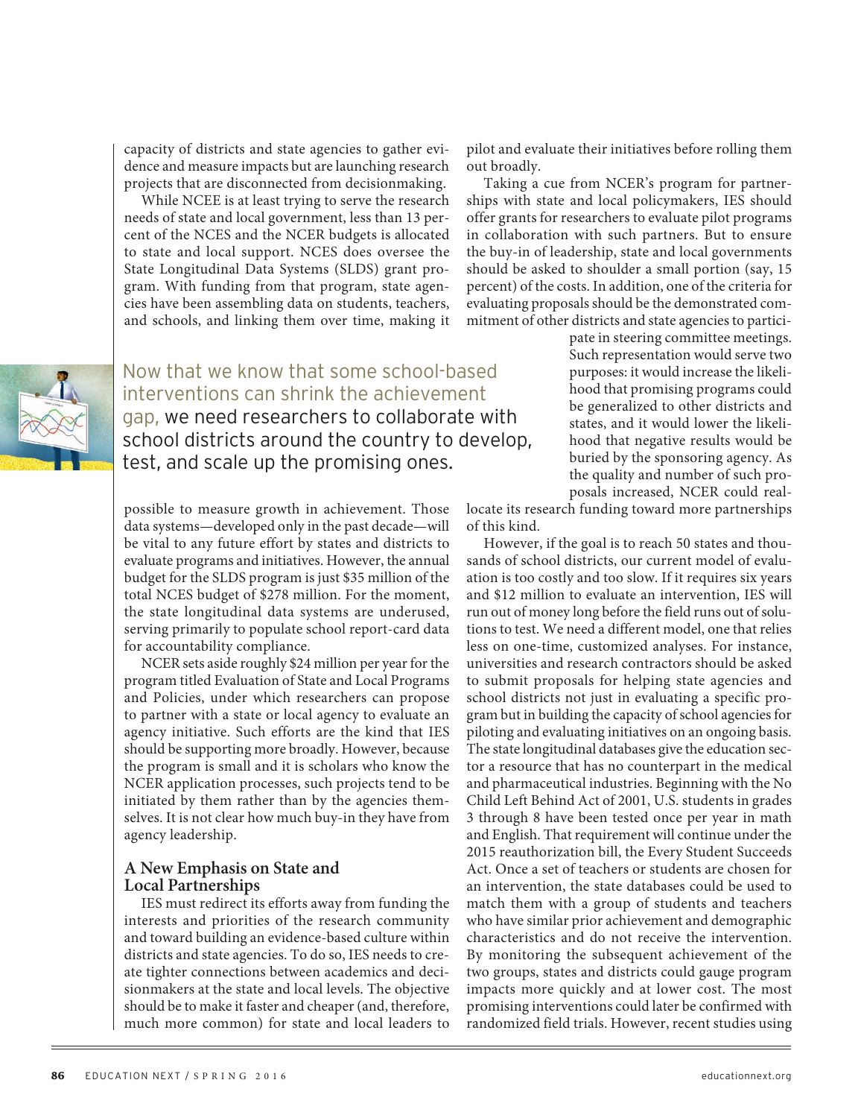capacity of districts and state agencies to gather evidence and measure impacts but are launching research projects that are disconnected from decisionmaking.

While NCEE is at least trying to serve the research needs of state and local government, less than 13 percent of the NCES and the NCER budgets is allocated to state and local support. NCES does oversee the State Longitudinal Data Systems (SLDS) grant program. With funding from that program, state agencies have been assembling data on students, teachers, and schools, and linking them over time, making it

Now that we know that some school-based interventions can shrink the achievement gap, we need researchers to collaborate with school districts around the country to develop, test, and scale up the promising ones.

possible to measure growth in achievement. Those data systems—developed only in the past decade—will be vital to any future effort by states and districts to evaluate programs and initiatives. However, the annual budget for the SLDS program is just \$35 million of the total NCES budget of \$278 million. For the moment, the state longitudinal data systems are underused, serving primarily to populate school report-card data for accountability compliance.

NCER sets aside roughly \$24 million per year for the program titled Evaluation of State and Local Programs and Policies, under which researchers can propose to partner with a state or local agency to evaluate an agency initiative. Such efforts are the kind that IES should be supporting more broadly. However, because the program is small and it is scholars who know the NCER application processes, such projects tend to be initiated by them rather than by the agencies themselves. It is not clear how much buy-in they have from agency leadership.

#### **A New Emphasis on State and Local Partnerships**

IES must redirect its efforts away from funding the interests and priorities of the research community and toward building an evidence-based culture within districts and state agencies. To do so, IES needs to create tighter connections between academics and decisionmakers at the state and local levels. The objective should be to make it faster and cheaper (and, therefore, much more common) for state and local leaders to

pilot and evaluate their initiatives before rolling them out broadly.

Taking a cue from NCER's program for partnerships with state and local policymakers, IES should offer grants for researchers to evaluate pilot programs in collaboration with such partners. But to ensure the buy-in of leadership, state and local governments should be asked to shoulder a small portion (say, 15 percent) of the costs. In addition, one of the criteria for evaluating proposals should be the demonstrated commitment of other districts and state agencies to partici-

> pate in steering committee meetings. Such representation would serve two purposes: it would increase the likelihood that promising programs could be generalized to other districts and states, and it would lower the likelihood that negative results would be buried by the sponsoring agency. As the quality and number of such proposals increased, NCER could real-

locate its research funding toward more partnerships of this kind.

However, if the goal is to reach 50 states and thousands of school districts, our current model of evaluation is too costly and too slow. If it requires six years and \$12 million to evaluate an intervention, IES will run out of money long before the field runs out of solutions to test. We need a different model, one that relies less on one-time, customized analyses. For instance, universities and research contractors should be asked to submit proposals for helping state agencies and school districts not just in evaluating a specific program but in building the capacity of school agencies for piloting and evaluating initiatives on an ongoing basis. The state longitudinal databases give the education sector a resource that has no counterpart in the medical and pharmaceutical industries. Beginning with the No Child Left Behind Act of 2001, U.S. students in grades 3 through 8 have been tested once per year in math and English. That requirement will continue under the 2015 reauthorization bill, the Every Student Succeeds Act. Once a set of teachers or students are chosen for an intervention, the state databases could be used to match them with a group of students and teachers who have similar prior achievement and demographic characteristics and do not receive the intervention. By monitoring the subsequent achievement of the two groups, states and districts could gauge program impacts more quickly and at lower cost. The most promising interventions could later be confirmed with randomized field trials. However, recent studies using